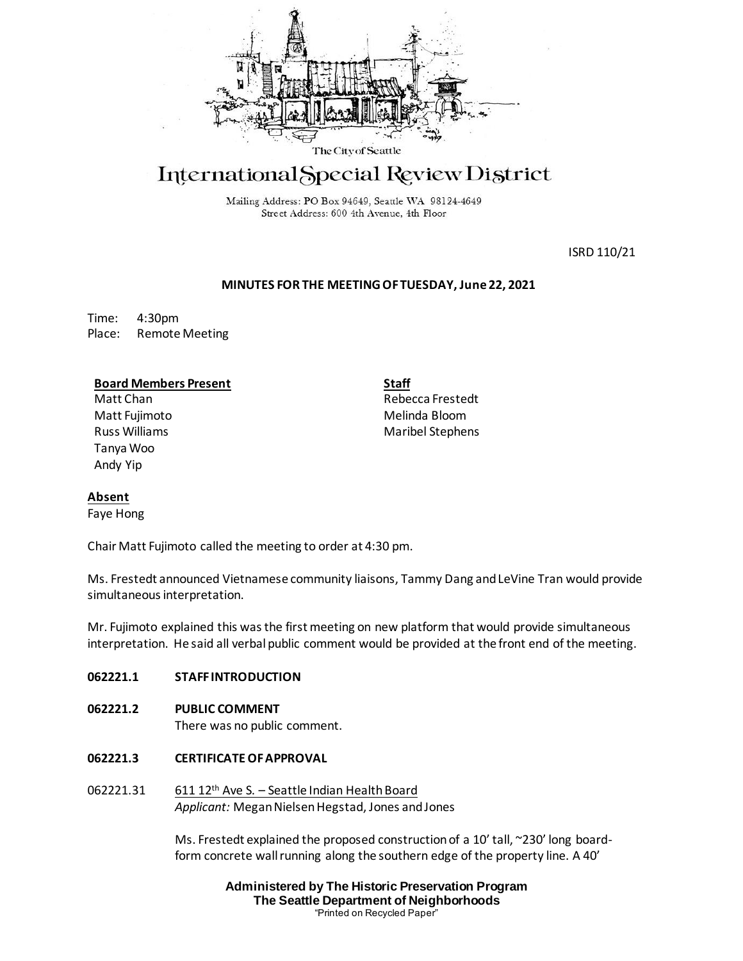

# International Special Review District

Mailing Address: PO Box 94649, Seattle WA 98124-4649 Street Address: 600 4th Avenue, 4th Floor

ISRD 110/21

# **MINUTES FOR THE MEETING OF TUESDAY, June 22, 2021**

Time: 4:30pm Place: Remote Meeting

# **Board Members Present**

Matt Chan Matt Fujimoto Russ Williams Tanya Woo Andy Yip

**Staff** Rebecca Frestedt Melinda Bloom Maribel Stephens

# **Absent**

Faye Hong

Chair Matt Fujimoto called the meeting to order at 4:30 pm.

Ms. Frestedt announced Vietnamese community liaisons, Tammy Dang and LeVine Tran would provide simultaneous interpretation.

Mr. Fujimoto explained this was the first meeting on new platform that would provide simultaneous interpretation. He said all verbal public comment would be provided at the front end of the meeting.

# **062221.1 STAFF INTRODUCTION**

**062221.2 PUBLIC COMMENT** 

There was no public comment.

- **062221.3 CERTIFICATE OF APPROVAL**
- 062221.31 611 12th Ave S. Seattle Indian Health Board *Applicant:* Megan Nielsen Hegstad, Jones and Jones

Ms. Frestedt explained the proposed construction of a 10' tall, ~230' long boardform concrete wall running along the southern edge of the property line. A 40'

> **Administered by The Historic Preservation Program The Seattle Department of Neighborhoods** "Printed on Recycled Paper"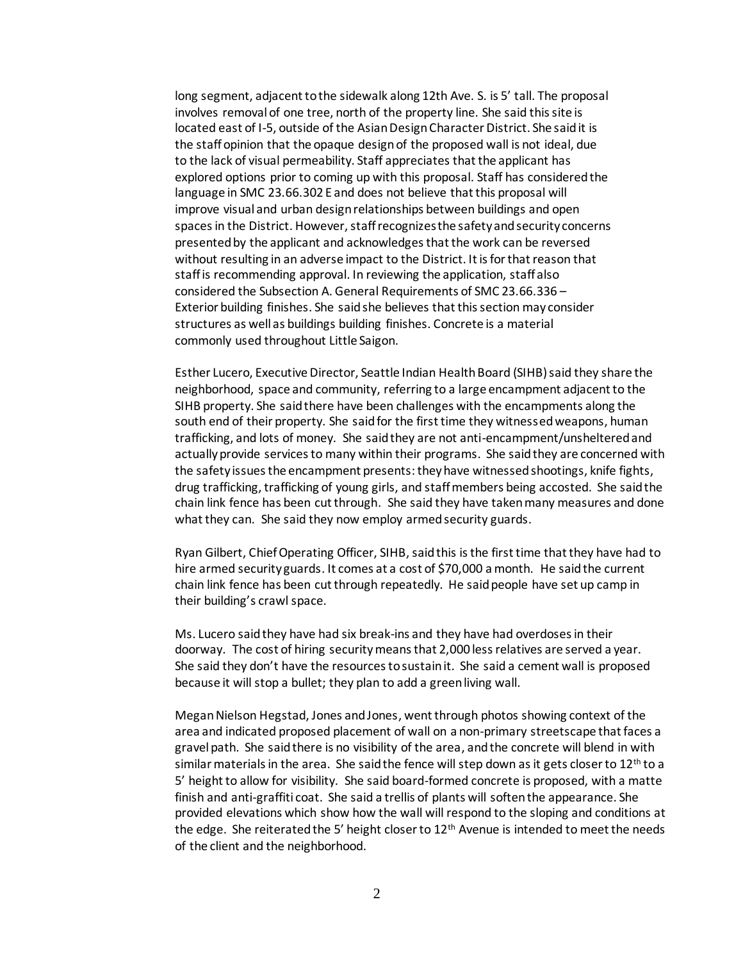long segment, adjacent to the sidewalk along 12th Ave. S. is 5' tall. The proposal involves removal of one tree, north of the property line. She said this site is located east of I-5, outside of the Asian Design Character District. She said it is the staff opinion that the opaque design of the proposed wall is not ideal, due to the lack of visual permeability. Staff appreciates that the applicant has explored options prior to coming up with this proposal. Staff has considered the language in SMC 23.66.302 E and does not believe that this proposal will improve visual and urban design relationships between buildings and open spaces in the District. However, staff recognizes the safety and security concerns presented by the applicant and acknowledges that the work can be reversed without resulting in an adverse impact to the District. It is for that reason that staff is recommending approval. In reviewing the application, staff also considered the Subsection A. General Requirements of SMC 23.66.336 – Exterior building finishes. She said she believes that this section may consider structures as well as buildings building finishes. Concrete is a material commonly used throughout Little Saigon.

Esther Lucero, Executive Director, Seattle Indian Health Board (SIHB)said they share the neighborhood, space and community, referring to a large encampment adjacent to the SIHB property. She said there have been challenges with the encampments along the south end of their property. She said for the first time they witnessedweapons, human trafficking, and lots of money. She said they are not anti-encampment/unsheltered and actually provide services to many within their programs. She said they are concerned with the safety issues the encampment presents: they have witnessed shootings, knife fights, drug trafficking, trafficking of young girls, and staff members being accosted. She said the chain link fence has been cut through. She said they have taken many measures and done what they can. She said they now employ armed security guards.

Ryan Gilbert, Chief Operating Officer, SIHB, said this is the first time that they have had to hire armed security guards. It comes at a cost of \$70,000 a month. He said the current chain link fence has been cut through repeatedly. He said people have set up camp in their building's crawl space.

Ms. Lucero said they have had six break-ins and they have had overdoses in their doorway. The cost of hiring securitymeans that 2,000 less relatives are served a year. She said they don't have the resources to sustain it. She said a cement wall is proposed because it will stop a bullet; they plan to add a green living wall.

Megan Nielson Hegstad, Jones and Jones, went through photos showing context of the area and indicated proposed placement of wall on a non-primary streetscape that faces a gravel path. She said there is no visibility of the area, and the concrete will blend in with similar materials in the area. She said the fence will step down as it gets closer to  $12<sup>th</sup>$  to a 5' height to allow for visibility. She said board-formed concrete is proposed, with a matte finish and anti-graffiti coat. She said a trellis of plants will soften the appearance. She provided elevations which show how the wall will respond to the sloping and conditions at the edge. She reiterated the 5' height closer to  $12<sup>th</sup>$  Avenue is intended to meet the needs of the client and the neighborhood.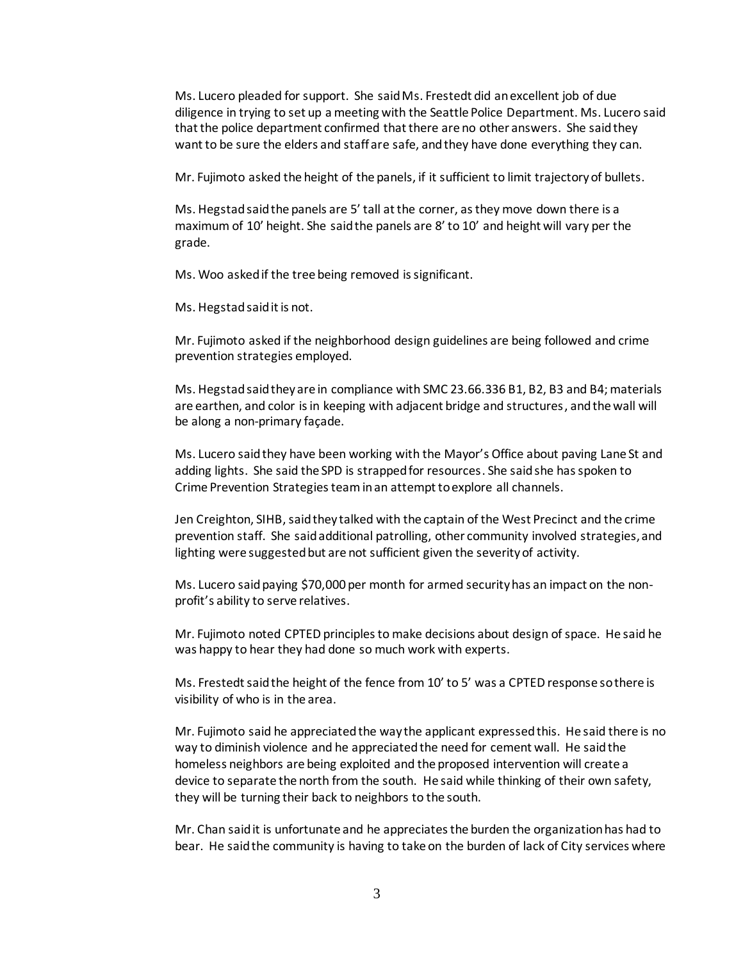Ms. Lucero pleaded for support. She said Ms. Frestedt did an excellent job of due diligence in trying to set up a meeting with the Seattle Police Department. Ms. Lucero said that the police department confirmed that there are no other answers. She said they want to be sure the elders and staff are safe, and they have done everything they can.

Mr. Fujimoto asked the height of the panels, if it sufficient to limit trajectory of bullets.

Ms. Hegstad said the panels are 5' tall at the corner, as they move down there is a maximum of 10' height. She said the panels are 8' to 10' and height will vary per the grade.

Ms. Woo asked if the tree being removed is significant.

Ms. Hegstad said it is not.

Mr. Fujimoto asked if the neighborhood design guidelines are being followed and crime prevention strategies employed.

Ms. Hegstad said they are in compliance with SMC 23.66.336 B1, B2, B3 and B4; materials are earthen, and color is in keeping with adjacent bridge and structures, and the wall will be along a non-primary façade.

Ms. Lucero said they have been working with the Mayor's Office about paving Lane St and adding lights. She said the SPD is strapped for resources. She said she has spoken to Crime Prevention Strategies team in an attempt to explore all channels.

Jen Creighton, SIHB, said they talked with the captain of the West Precinct and the crime prevention staff. She said additional patrolling, other community involved strategies, and lighting were suggested but are not sufficient given the severity of activity.

Ms. Lucero said paying \$70,000 per month for armed security has an impact on the nonprofit's ability to serve relatives.

Mr. Fujimoto noted CPTED principles to make decisions about design of space. He said he was happy to hear they had done so much work with experts.

Ms. Frestedt said the height of the fence from 10' to 5' was a CPTED response so there is visibility of who is in the area.

Mr. Fujimoto said he appreciated the way the applicant expressed this. He said there is no way to diminish violence and he appreciated the need for cement wall. He said the homeless neighbors are being exploited and the proposed intervention will create a device to separate the north from the south. He said while thinking of their own safety, they will be turning their back to neighbors to the south.

Mr. Chan said it is unfortunate and he appreciates the burden the organization has had to bear. He said the community is having to take on the burden of lack of City services where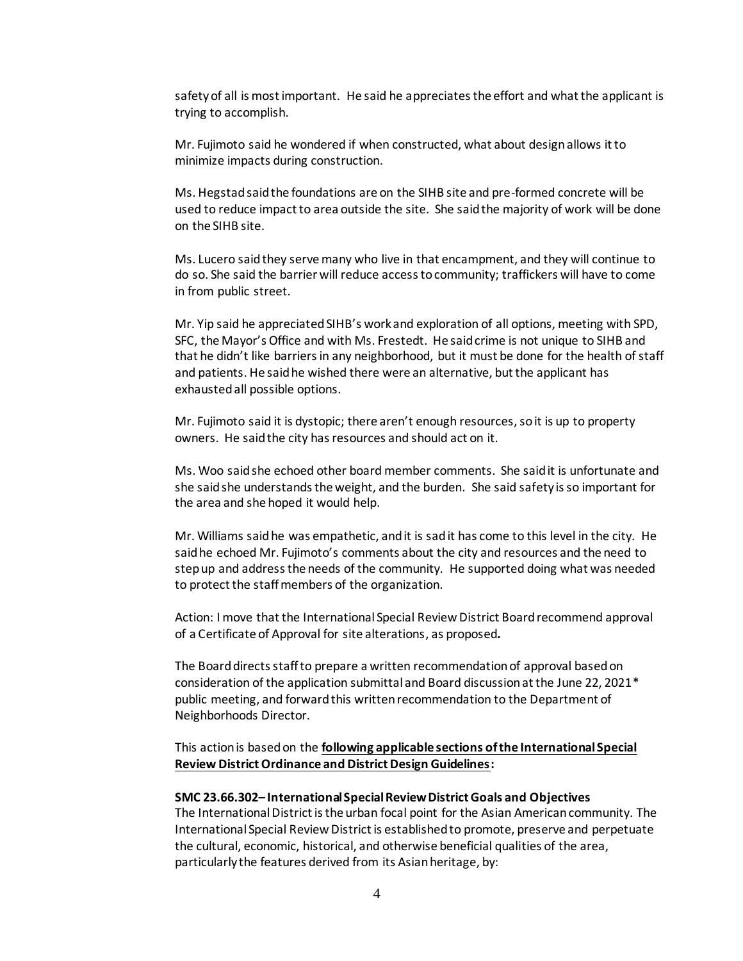safety of all is most important. He said he appreciates the effort and what the applicant is trying to accomplish.

Mr. Fujimoto said he wondered if when constructed, what about design allows it to minimize impacts during construction.

Ms. Hegstad said the foundations are on the SIHB site and pre-formed concrete will be used to reduce impact to area outside the site. She said the majority of work will be done on the SIHB site.

Ms. Lucero said they serve many who live in that encampment, and they will continue to do so. She said the barrier will reduce access to community; traffickers will have to come in from public street.

Mr. Yip said he appreciated SIHB's work and exploration of all options, meeting with SPD, SFC, the Mayor's Office and with Ms. Frestedt. He said crime is not unique to SIHB and that he didn't like barriers in any neighborhood, but it must be done for the health of staff and patients. He said he wished there were an alternative, but the applicant has exhausted all possible options.

Mr. Fujimoto said it is dystopic; there aren't enough resources, so it is up to property owners. He said the city has resources and should act on it.

Ms. Woo said she echoed other board member comments. She said it is unfortunate and she said she understands the weight, and the burden. She said safety is so important for the area and she hoped it would help.

Mr. Williams said he was empathetic, and it is sad it has come to this level in the city. He said he echoed Mr. Fujimoto's comments about the city and resources and the need to step up and address the needs of the community. He supported doing what was needed to protect the staff members of the organization.

Action: I move that the International Special Review District Board recommend approval of a Certificate of Approval for site alterations, as proposed*.*

The Board directs staff to prepare a written recommendation of approval based on consideration of the application submittal and Board discussion at the June 22, 2021\* public meeting, and forward this written recommendation to the Department of Neighborhoods Director.

This action is based on the **following applicable sections of the International Special Review District Ordinance and District Design Guidelines:** 

#### **SMC 23.66.302– International Special Review District Goals and Objectives**

The International District is the urban focal point for the Asian American community. The International Special Review District is established to promote, preserve and perpetuate the cultural, economic, historical, and otherwise beneficial qualities of the area, particularly the features derived from its Asian heritage, by: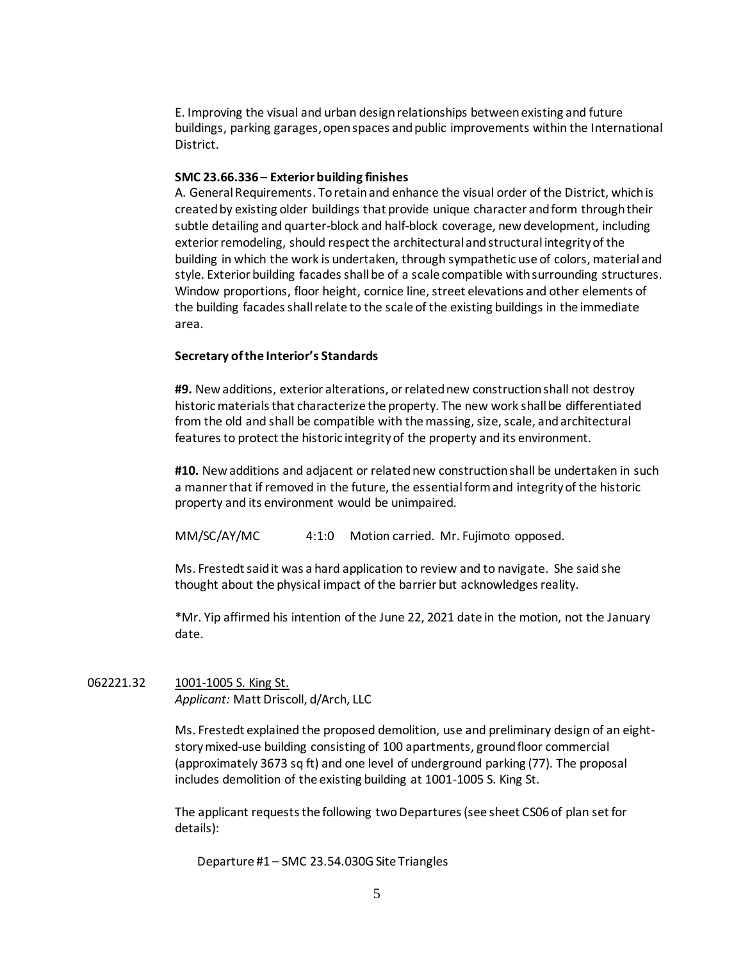E. Improving the visual and urban design relationships between existing and future buildings, parking garages, open spaces and public improvements within the International District.

## **SMC 23.66.336 – Exterior building finishes**

A. General Requirements. To retain and enhance the visual order of the District, which is created by existing older buildings that provide unique character and form through their subtle detailing and quarter-block and half-block coverage, new development, including exterior remodeling, should respect the architectural and structural integrity of the building in which the work is undertaken, through sympathetic use of colors, material and style. Exterior building facades shall be of a scale compatible with surrounding structures. Window proportions, floor height, cornice line, street elevations and other elements of the building facades shall relate to the scale of the existing buildings in the immediate area.

# **Secretary of the Interior's Standards**

**#9.** New additions, exterior alterations, or related new construction shall not destroy historic materials that characterize the property. The new work shall be differentiated from the old and shall be compatible with the massing, size, scale, and architectural features to protect the historic integrity of the property and its environment.

**#10.** New additions and adjacent or related new construction shall be undertaken in such a manner that if removed in the future, the essential form and integrity of the historic property and its environment would be unimpaired.

MM/SC/AY/MC 4:1:0 Motion carried. Mr. Fujimoto opposed.

Ms. Frestedt said it was a hard application to review and to navigate. She said she thought about the physical impact of the barrier but acknowledges reality.

\*Mr. Yip affirmed his intention of the June 22, 2021 date in the motion, not the January date.

# 062221.32 1001-1005 S. King St. *Applicant:* Matt Driscoll, d/Arch, LLC

Ms. Frestedt explained the proposed demolition, use and preliminary design of an eightstory mixed-use building consisting of 100 apartments, ground floor commercial (approximately 3673 sq ft) and one level of underground parking (77). The proposal includes demolition of the existing building at 1001-1005 S. King St.

The applicant requests the following two Departures (see sheet CS06 of plan set for details):

Departure #1 – SMC 23.54.030G Site Triangles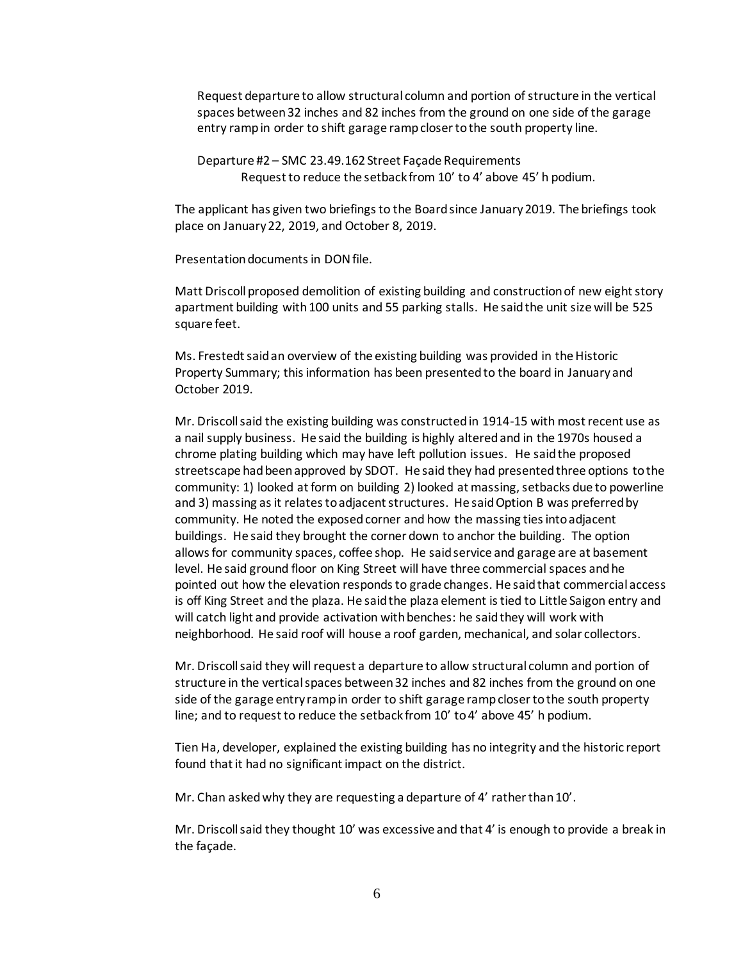Request departure to allow structural column and portion of structure in the vertical spaces between 32 inches and 82 inches from the ground on one side of the garage entry ramp in order to shift garage ramp closer to the south property line.

Departure #2 – SMC 23.49.162 Street Façade Requirements Request to reduce the setback from 10' to 4' above 45' h podium.

The applicant has given two briefings to the Board since January 2019. The briefings took place on January 22, 2019, and October 8, 2019.

Presentation documents in DON file.

Matt Driscoll proposed demolition of existing building and construction of new eight story apartment building with 100 units and 55 parking stalls. He said the unit size will be 525 square feet.

Ms. Frestedt said an overview of the existing building was provided in the Historic Property Summary; this information has been presented to the board in January and October 2019.

Mr. Driscoll said the existing building was constructed in 1914-15 with most recent use as a nail supply business. He said the building is highly altered and in the 1970s housed a chrome plating building which may have left pollution issues. He said the proposed streetscape had been approved by SDOT. He said they had presented three options to the community: 1) looked at form on building 2) looked at massing, setbacks due to powerline and 3) massing as it relates to adjacent structures. He said Option B was preferred by community. He noted the exposed corner and how the massing ties into adjacent buildings. He said they brought the corner down to anchor the building. The option allows for community spaces, coffee shop. He said service and garage are at basement level. He said ground floor on King Street will have three commercial spaces and he pointed out how the elevation responds to grade changes. He said that commercial access is off King Street and the plaza. He said the plaza element is tied to Little Saigon entry and will catch light and provide activation with benches: he said they will work with neighborhood. He said roof will house a roof garden, mechanical, and solar collectors.

Mr. Driscoll said they will request a departure to allow structural column and portion of structure in the vertical spaces between 32 inches and 82 inches from the ground on one side of the garage entry ramp in order to shift garage ramp closer to the south property line; and to request to reduce the setback from 10' to 4' above 45' h podium.

Tien Ha, developer, explained the existing building has no integrity and the historic report found that it had no significant impact on the district.

Mr. Chan asked why they are requesting a departure of 4' rather than 10'.

Mr. Driscoll said they thought 10' was excessive and that 4' is enough to provide a break in the façade.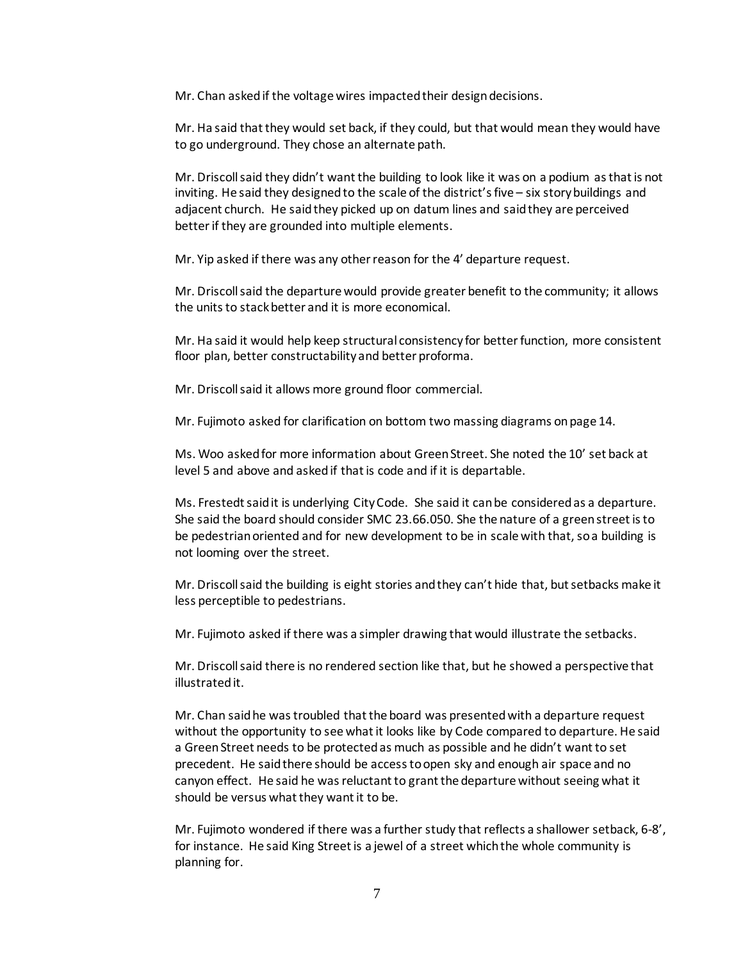Mr. Chan asked if the voltage wires impacted their design decisions.

Mr. Ha said that they would set back, if they could, but that would mean they would have to go underground. They chose an alternate path.

Mr. Driscoll said they didn't wantthe building to look like it was on a podium as that is not inviting. He said they designed to the scale of the district's five – six story buildings and adjacent church. He said they picked up on datum lines and said they are perceived better if they are grounded into multiple elements.

Mr. Yip asked if there was any other reason for the 4' departure request.

Mr. Driscoll said the departure would provide greater benefit to the community; it allows the units to stack better and it is more economical.

Mr. Ha said it would help keep structural consistency for better function, more consistent floor plan, better constructability and better proforma.

Mr. Driscoll said it allows more ground floor commercial.

Mr. Fujimoto asked for clarification on bottom two massing diagrams on page 14.

Ms. Woo asked for more information about Green Street. She noted the 10' set back at level 5 and above and asked if that is code and if it is departable.

Ms. Frestedt said it is underlying City Code. She said it can be considered as a departure. She said the board should consider SMC 23.66.050. She the nature of a green street is to be pedestrian oriented and for new development to be in scale with that, so a building is not looming over the street.

Mr. Driscoll said the building is eight stories and they can't hide that, but setbacks make it less perceptible to pedestrians.

Mr. Fujimoto asked if there was a simpler drawing that would illustrate the setbacks.

Mr. Driscoll said there is no rendered section like that, but he showed a perspective that illustrated it.

Mr. Chan said he was troubled that the board was presented with a departure request without the opportunity to see what it looks like by Code compared to departure. He said a Green Street needs to be protected as much as possible and he didn't want to set precedent. He said there should be access to open sky and enough air space and no canyon effect. He said he was reluctant to grant the departure without seeing what it should be versus what they want it to be.

Mr. Fujimoto wondered if there was a further study that reflects a shallower setback, 6-8', for instance. He said King Street is a jewel of a street which the whole community is planning for.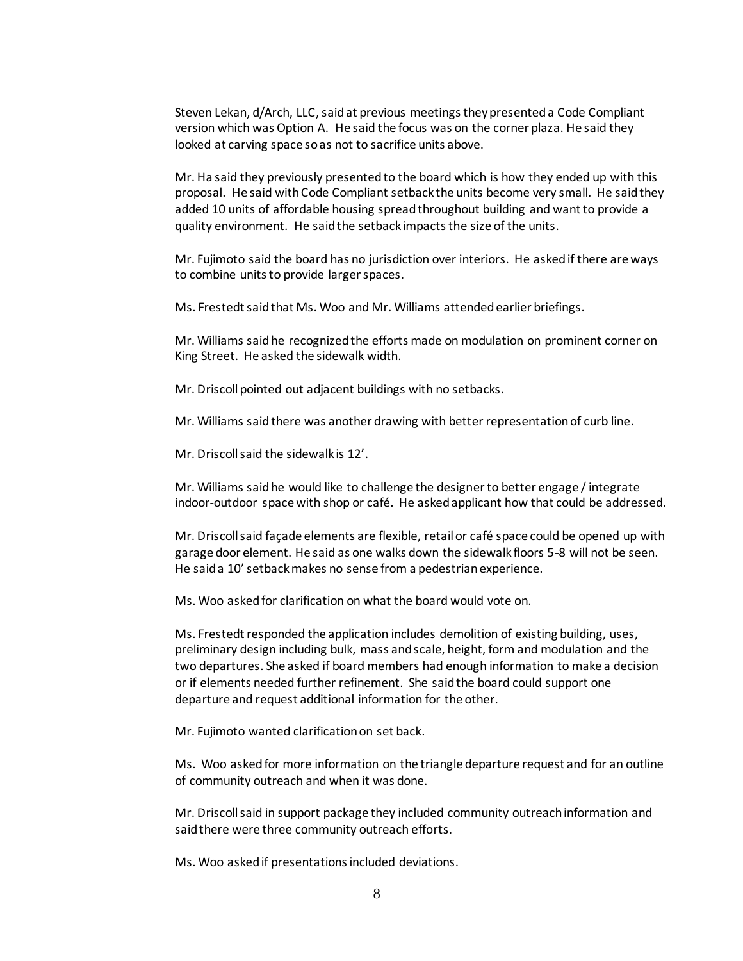Steven Lekan, d/Arch, LLC, said at previous meetings they presented a Code Compliant version which was Option A. He said the focus was on the corner plaza. He said they looked at carving space so as not to sacrifice units above.

Mr. Ha said they previously presented to the board which is how they ended up with this proposal. He said with Code Compliant setback the units become very small. He said they added 10 units of affordable housing spread throughout building and want to provide a quality environment. He said the setback impacts the size of the units.

Mr. Fujimoto said the board has no jurisdiction over interiors. He asked if there are ways to combine units to provide larger spaces.

Ms. Frestedt said that Ms. Woo and Mr. Williams attended earlier briefings.

Mr. Williams said he recognized the efforts made on modulation on prominent corner on King Street. He asked the sidewalk width.

Mr. Driscoll pointed out adjacent buildings with no setbacks.

Mr. Williams said there was another drawing with better representation of curb line.

Mr. Driscoll said the sidewalk is 12'.

Mr. Williams said he would like to challenge the designerto better engage / integrate indoor-outdoor space with shop or café. He asked applicant how that could be addressed.

Mr. Driscoll said façade elements are flexible, retail or café space could be opened up with garage door element. He said as one walks down the sidewalk floors 5-8 will not be seen. He said a 10' setback makes no sense from a pedestrian experience.

Ms. Woo asked for clarification on what the board would vote on.

Ms. Frestedt responded the application includes demolition of existing building, uses, preliminary design including bulk, mass and scale, height, form and modulation and the two departures. She asked if board members had enough information to make a decision or if elements needed further refinement. She said the board could support one departure and request additional information for the other.

Mr. Fujimoto wanted clarification on set back.

Ms. Woo asked for more information on the triangle departure request and for an outline of community outreach and when it was done.

Mr. Driscoll said in support package they included community outreach information and said there were three community outreach efforts.

Ms. Woo asked if presentations included deviations.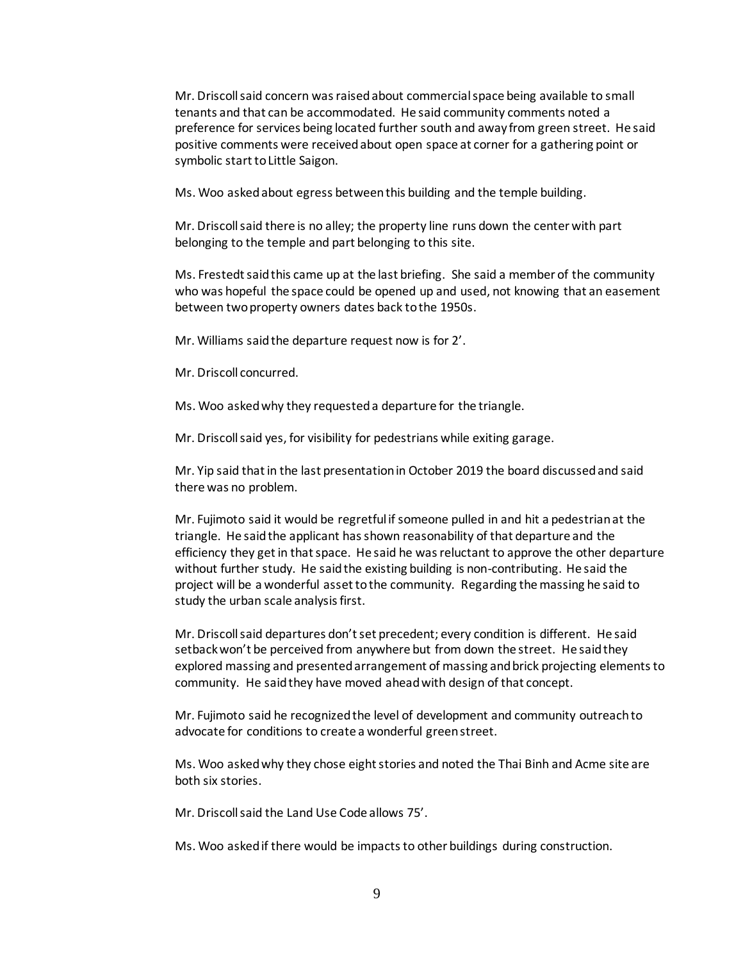Mr. Driscoll said concern was raised about commercial space being available to small tenants and that can be accommodated. He said community comments noted a preference for services being located further south and away from green street. He said positive comments were received about open space at corner for a gathering point or symbolic start to Little Saigon.

Ms. Woo asked about egress between this building and the temple building.

Mr. Driscoll said there is no alley; the property line runs down the center with part belonging to the temple and part belonging to this site.

Ms. Frestedt said this came up at the last briefing. She said a member of the community who was hopeful the space could be opened up and used, not knowing that an easement between two property owners dates back to the 1950s.

Mr. Williams said the departure request now is for 2'.

Mr. Driscoll concurred.

Ms. Woo asked why they requested a departure for the triangle.

Mr. Driscoll said yes, for visibility for pedestrians while exiting garage.

Mr. Yip said that in the last presentation in October 2019 the board discussed and said there was no problem.

Mr. Fujimoto said it would be regretful if someone pulled in and hit a pedestrian at the triangle. He said the applicant has shown reasonability of that departure and the efficiency they get in that space. He said he was reluctant to approve the other departure without further study. He said the existing building is non-contributing. He said the project will be a wonderful asset to the community. Regarding the massing he said to study the urban scale analysis first.

Mr. Driscoll said departures don't set precedent; every condition is different. He said setback won't be perceived from anywhere but from down the street. He said they explored massing and presented arrangement of massing and brick projecting elements to community. He said they have moved ahead with design of that concept.

Mr. Fujimoto said he recognized the level of development and community outreach to advocate for conditions to create a wonderful green street.

Ms. Woo asked why they chose eight stories and noted the Thai Binh and Acme site are both six stories.

Mr. Driscoll said the Land Use Code allows 75'.

Ms. Woo asked if there would be impacts to other buildings during construction.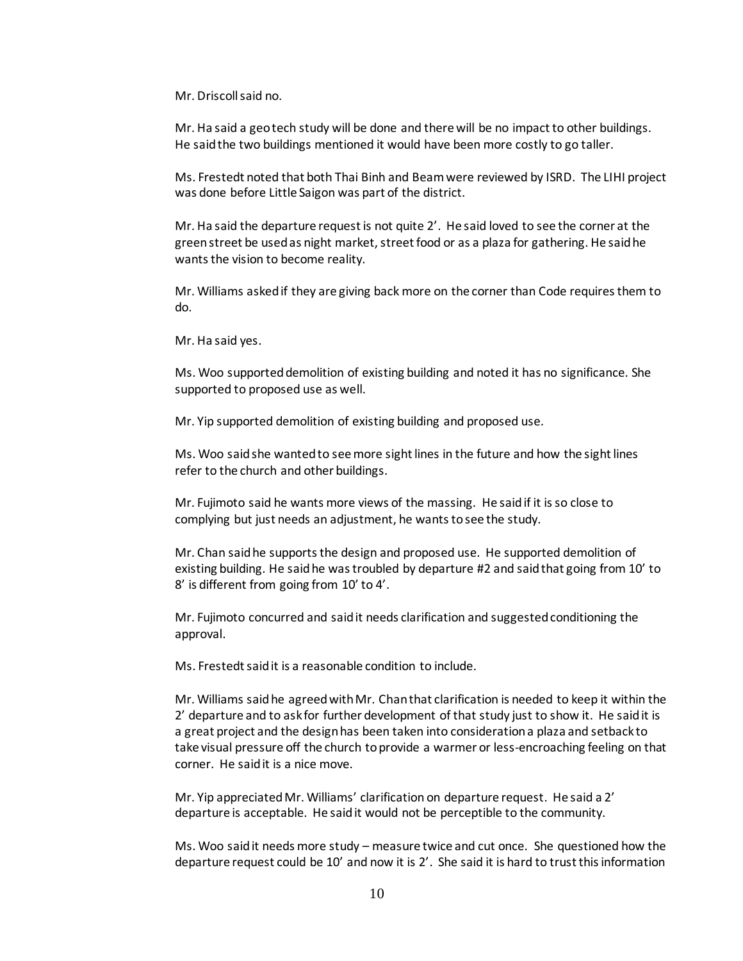Mr. Driscoll said no.

Mr. Ha said a geo tech study will be done and there will be no impact to other buildings. He said the two buildings mentioned it would have been more costly to go taller.

Ms. Frestedt noted that both Thai Binh and Beamwere reviewed by ISRD. The LIHI project was done before Little Saigon was part of the district.

Mr. Ha said the departure request is not quite 2'. He said loved to see the corner at the green street be used as night market, street food or as a plaza for gathering. He said he wants the vision to become reality.

Mr. Williams asked if they are giving back more on the corner than Code requires them to do.

Mr. Ha said yes.

Ms. Woo supported demolition of existing building and noted it has no significance. She supported to proposed use as well.

Mr. Yip supported demolition of existing building and proposed use.

Ms. Woo said she wanted to see more sight lines in the future and how the sight lines refer to the church and other buildings.

Mr. Fujimoto said he wants more views of the massing. He said if it is so close to complying but just needs an adjustment, he wants to see the study.

Mr. Chan said he supports the design and proposed use. He supported demolition of existing building. He said he was troubled by departure #2 and said that going from 10' to 8' is different from going from 10' to 4'.

Mr. Fujimoto concurred and said it needs clarification and suggested conditioning the approval.

Ms. Frestedt said it is a reasonable condition to include.

Mr. Williams said he agreed with Mr. Chan that clarification is needed to keep it within the 2' departure and to ask for further development of that study just to show it. He said it is a great project and the design has been taken into consideration a plaza and setback to take visual pressure off the church to provide a warmer or less-encroaching feeling on that corner. He said it is a nice move.

Mr. Yip appreciated Mr. Williams' clarification on departure request. He said a 2' departure is acceptable. He said it would not be perceptible to the community.

Ms. Woo said it needs more study – measure twice and cut once. She questioned how the departure request could be 10' and now it is 2'. She said it is hard to trust this information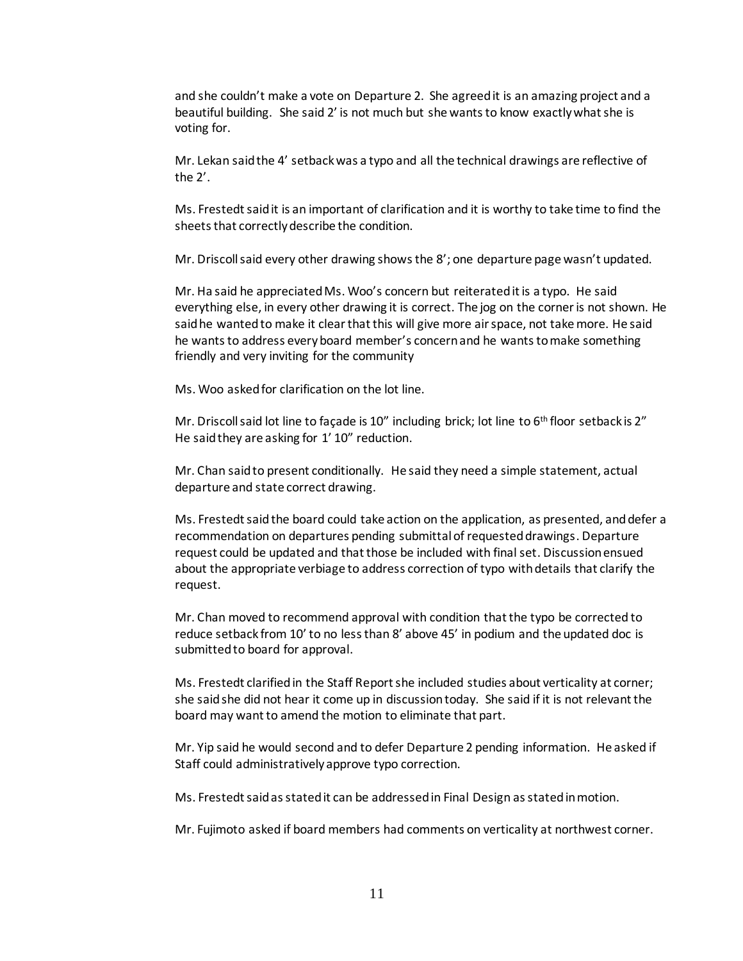and she couldn't make a vote on Departure 2. She agreed it is an amazing project and a beautiful building. She said 2' is not much but she wants to know exactly what she is voting for.

Mr. Lekan said the 4' setback was a typo and all the technical drawings are reflective of the 2'.

Ms. Frestedt said it is an important of clarification and it is worthy to take time to find the sheets that correctly describe the condition.

Mr. Driscoll said every other drawing shows the 8'; one departure page wasn't updated.

Mr. Ha said he appreciated Ms. Woo's concern but reiterated it is a typo. He said everything else, in every other drawing it is correct. The jog on the corner is not shown. He said he wanted to make it clear that this will give more air space, not take more. He said he wants to address every board member's concern and he wants to make something friendly and very inviting for the community

Ms. Woo asked for clarification on the lot line.

Mr. Driscoll said lot line to façade is  $10''$  including brick; lot line to  $6<sup>th</sup>$  floor setback is  $2''$ He said they are asking for 1' 10" reduction.

Mr. Chan said to present conditionally. He said they need a simple statement, actual departure and state correct drawing.

Ms. Frestedt said the board could take action on the application, as presented, and defer a recommendation on departures pending submittal of requested drawings. Departure request could be updated and that those be included with final set. Discussion ensued about the appropriate verbiage to address correction of typo with details that clarify the request.

Mr. Chan moved to recommend approval with condition that the typo be corrected to reduce setback from 10' to no less than 8' above 45' in podium and the updated doc is submitted to board for approval.

Ms. Frestedt clarified in the Staff Reportshe included studies about verticality at corner; she said she did not hear it come up in discussion today. She said if it is not relevant the board may want to amend the motion to eliminate that part.

Mr. Yip said he would second and to defer Departure 2 pending information. He asked if Staff could administratively approve typo correction.

Ms. Frestedt said as stated it can be addressed in Final Design as stated in motion.

Mr. Fujimoto asked if board members had comments on verticality at northwest corner.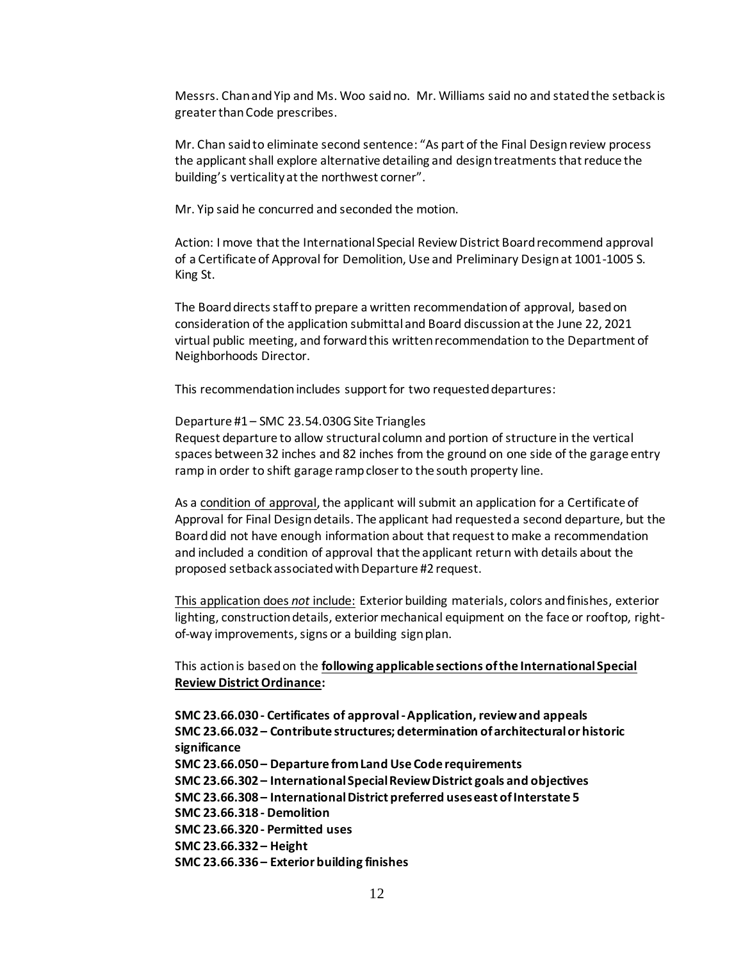Messrs. Chan and Yip and Ms. Woo said no. Mr. Williams said no and stated the setback is greater than Code prescribes.

Mr. Chan said to eliminate second sentence: "As part of the Final Design review process the applicant shall explore alternative detailing and design treatments that reduce the building's verticality at the northwest corner".

Mr. Yip said he concurred and seconded the motion.

Action: I move that the International Special Review District Board recommend approval of a Certificate of Approval for Demolition, Use and Preliminary Design at 1001-1005 S. King St.

The Board directs staff to prepare a written recommendation of approval, based on consideration of the application submittal and Board discussion at the June 22, 2021 virtual public meeting, and forward this written recommendation to the Department of Neighborhoods Director.

This recommendation includes support for two requested departures:

#### Departure #1 – SMC 23.54.030G Site Triangles

Request departure to allow structural column and portion of structure in the vertical spaces between 32 inches and 82 inches from the ground on one side of the garage entry ramp in order to shift garage ramp closer to the south property line.

As a condition of approval, the applicant will submit an application for a Certificate of Approval for Final Design details. The applicant had requested a second departure, but the Board did not have enough information about that request to make a recommendation and included a condition of approval that the applicant return with details about the proposed setback associated with Departure #2 request.

This application does *not* include: Exterior building materials, colors and finishes, exterior lighting, construction details, exterior mechanical equipment on the face or rooftop, rightof-way improvements, signs or a building sign plan.

This action is based on the **following applicable sections of the International Special Review District Ordinance:** 

**SMC 23.66.030 - Certificates of approval -Application, review and appeals SMC 23.66.032 – Contribute structures; determination of architectural or historic significance SMC 23.66.050 – Departure from Land Use Code requirements SMC 23.66.302 – International Special Review District goals and objectives SMC 23.66.308 – International District preferred uses east of Interstate 5 SMC 23.66.318 - Demolition SMC 23.66.320 - Permitted uses SMC 23.66.332 – Height SMC 23.66.336 – Exterior building finishes**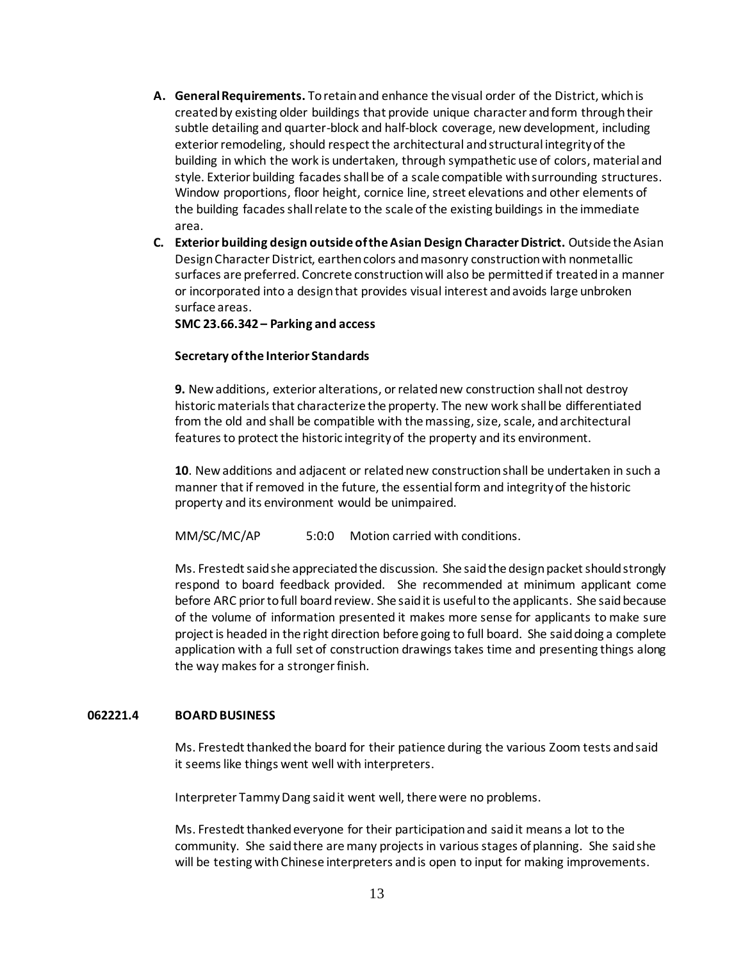- **A. General Requirements.** To retain and enhance the visual order of the District, which is created by existing older buildings that provide unique character and form through their subtle detailing and quarter-block and half-block coverage, new development, including exterior remodeling, should respect the architectural and structural integrity of the building in which the work is undertaken, through sympathetic use of colors, material and style. Exterior building facades shall be of a scale compatible with surrounding structures. Window proportions, floor height, cornice line, street elevations and other elements of the building facades shall relate to the scale of the existing buildings in the immediate area.
- **C. Exterior building design outside of the Asian Design Character District.** Outside the Asian Design Character District, earthen colors and masonry construction with nonmetallic surfaces are preferred. Concrete construction will also be permitted if treated in a manner or incorporated into a design that provides visual interest and avoids large unbroken surface areas.

**SMC 23.66.342 – Parking and access**

### **Secretary of the Interior Standards**

**9.** New additions, exterior alterations, or related new construction shall not destroy historic materials that characterize the property. The new work shall be differentiated from the old and shall be compatible with the massing, size, scale, and architectural features to protect the historic integrity of the property and its environment.

**10**. New additions and adjacent or related new construction shall be undertaken in such a manner that if removed in the future, the essential form and integrity of the historic property and its environment would be unimpaired.

MM/SC/MC/AP 5:0:0 Motion carried with conditions.

Ms. Frestedt said she appreciated the discussion. She said the design packet should strongly respond to board feedback provided. She recommended at minimum applicant come before ARC prior to full board review. She said it is useful to the applicants. She said because of the volume of information presented it makes more sense for applicants to make sure project is headed in the right direction before going to full board. She said doing a complete application with a full set of construction drawings takes time and presenting things along the way makes for a stronger finish.

#### **062221.4 BOARD BUSINESS**

Ms. Frestedt thanked the board for their patience during the various Zoom tests and said it seems like things went well with interpreters.

Interpreter Tammy Dang said it went well, there were no problems.

Ms. Frestedt thanked everyone for their participation and said it means a lot to the community. She said there are many projects in various stages of planning. She said she will be testing with Chinese interpreters and is open to input for making improvements.